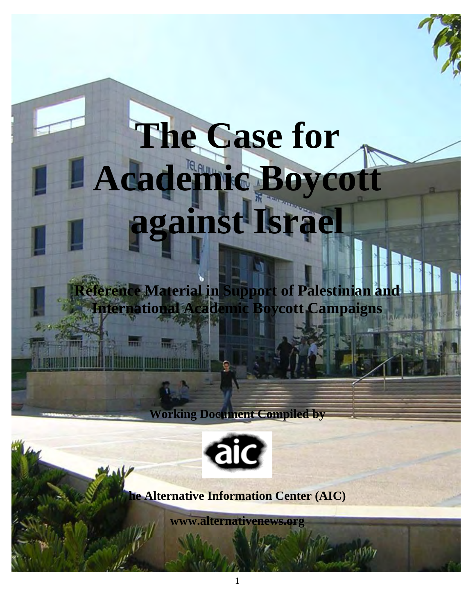# **The Case for Academic Boycott against Israel**

**Reference Material in Support of Palestinian and International Academic Boycott Campaigns** 

**Working Document Compiled by** 



**e Alternative Information Center (AIC)** 

**[www.alternativenews.org](http://www.alternativenews.org/)**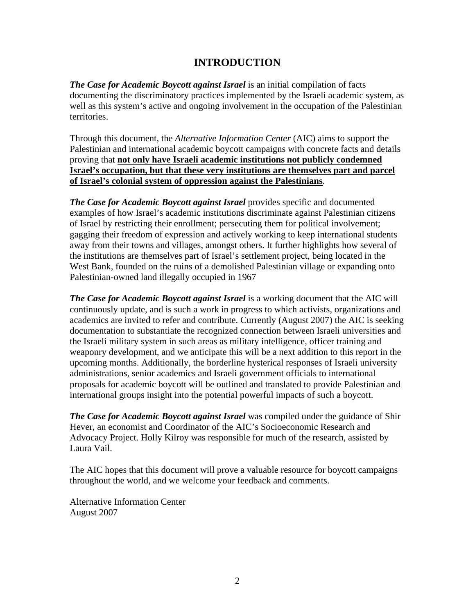## **INTRODUCTION**

*The Case for Academic Boycott against Israel* is an initial compilation of facts documenting the discriminatory practices implemented by the Israeli academic system, as well as this system's active and ongoing involvement in the occupation of the Palestinian territories.

Through this document, the *Alternative Information Center* (AIC) aims to support the Palestinian and international academic boycott campaigns with concrete facts and details proving that **not only have Israeli academic institutions not publicly condemned Israel's occupation, but that these very institutions are themselves part and parcel of Israel's colonial system of oppression against the Palestinians**.

*The Case for Academic Boycott against Israel* provides specific and documented examples of how Israel's academic institutions discriminate against Palestinian citizens of Israel by restricting their enrollment; persecuting them for political involvement; gagging their freedom of expression and actively working to keep international students away from their towns and villages, amongst others. It further highlights how several of the institutions are themselves part of Israel's settlement project, being located in the West Bank, founded on the ruins of a demolished Palestinian village or expanding onto Palestinian-owned land illegally occupied in 1967

*The Case for Academic Boycott against Israel* is a working document that the AIC will continuously update, and is such a work in progress to which activists, organizations and academics are invited to refer and contribute. Currently (August 2007) the AIC is seeking documentation to substantiate the recognized connection between Israeli universities and the Israeli military system in such areas as military intelligence, officer training and weaponry development, and we anticipate this will be a next addition to this report in the upcoming months. Additionally, the borderline hysterical responses of Israeli university administrations, senior academics and Israeli government officials to international proposals for academic boycott will be outlined and translated to provide Palestinian and international groups insight into the potential powerful impacts of such a boycott.

*The Case for Academic Boycott against Israel* was compiled under the guidance of Shir Hever, an economist and Coordinator of the AIC's Socioeconomic Research and Advocacy Project. Holly Kilroy was responsible for much of the research, assisted by Laura Vail.

The AIC hopes that this document will prove a valuable resource for boycott campaigns throughout the world, and we welcome your feedback and comments.

Alternative Information Center August 2007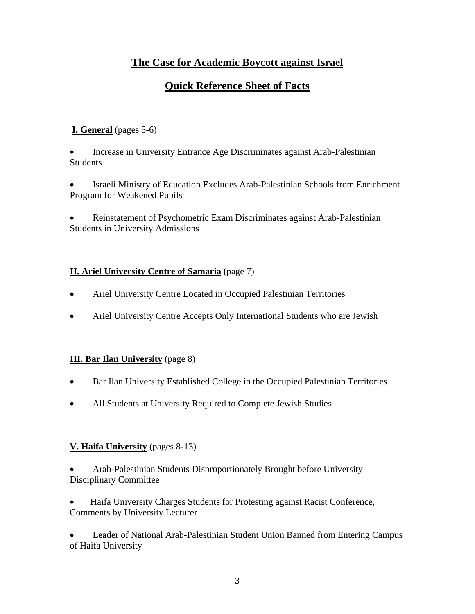## **The Case for Academic Boycott against Israel**

## **Quick Reference Sheet of Facts**

## **I. General** (pages 5-6)

• Increase in University Entrance Age Discriminates against Arab-Palestinian **Students** 

• Israeli Ministry of Education Excludes Arab-Palestinian Schools from Enrichment Program for Weakened Pupils

• Reinstatement of Psychometric Exam Discriminates against Arab-Palestinian Students in University Admissions

#### **II. Ariel University Centre of Samaria** (page 7)

- Ariel University Centre Located in Occupied Palestinian Territories
- Ariel University Centre Accepts Only International Students who are Jewish

#### **III. Bar Ilan University** (page 8)

- Bar Ilan University Established College in the Occupied Palestinian Territories
- All Students at University Required to Complete Jewish Studies

#### **V. Haifa University** (pages 8-13)

• Arab-Palestinian Students Disproportionately Brought before University Disciplinary Committee

• Haifa University Charges Students for Protesting against Racist Conference, Comments by University Lecturer

• Leader of National Arab-Palestinian Student Union Banned from Entering Campus of Haifa University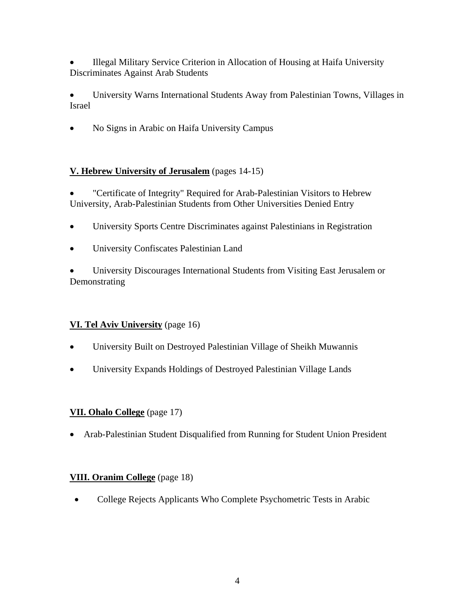• Illegal Military Service Criterion in Allocation of Housing at Haifa University Discriminates Against Arab Students

• University Warns International Students Away from Palestinian Towns, Villages in Israel

• No Signs in Arabic on Haifa University Campus

## **V. Hebrew University of Jerusalem** (pages 14-15)

• "Certificate of Integrity" Required for Arab-Palestinian Visitors to Hebrew University, Arab-Palestinian Students from Other Universities Denied Entry

- University Sports Centre Discriminates against Palestinians in Registration
- University Confiscates Palestinian Land

• University Discourages International Students from Visiting East Jerusalem or Demonstrating

## **VI. Tel Aviv University** (page 16)

- University Built on Destroyed Palestinian Village of Sheikh Muwannis
- University Expands Holdings of Destroyed Palestinian Village Lands

#### **VII. Ohalo College** (page 17)

• Arab-Palestinian Student Disqualified from Running for Student Union President

#### **VIII. Oranim College** (page 18)

• College Rejects Applicants Who Complete Psychometric Tests in Arabic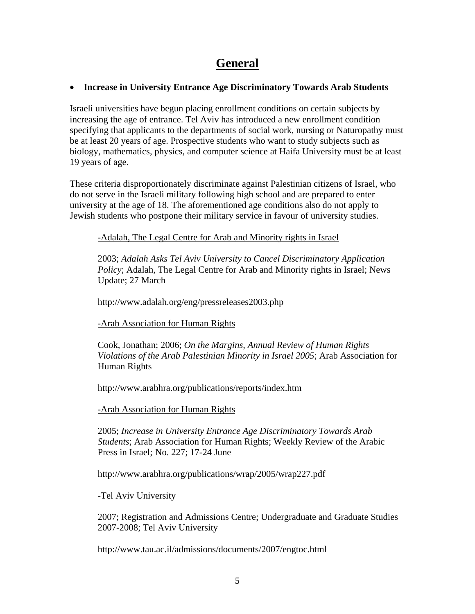## **General**

#### • **Increase in University Entrance Age Discriminatory Towards Arab Students**

Israeli universities have begun placing enrollment conditions on certain subjects by increasing the age of entrance. Tel Aviv has introduced a new enrollment condition specifying that applicants to the departments of social work, nursing or Naturopathy must be at least 20 years of age. Prospective students who want to study subjects such as biology, mathematics, physics, and computer science at Haifa University must be at least 19 years of age.

These criteria disproportionately discriminate against Palestinian citizens of Israel, who do not serve in the Israeli military following high school and are prepared to enter university at the age of 18. The aforementioned age conditions also do not apply to Jewish students who postpone their military service in favour of university studies.

#### -Adalah, The Legal Centre for Arab and Minority rights in Israel

2003; *Adalah Asks Tel Aviv University to Cancel Discriminatory Application Policy*; Adalah, The Legal Centre for Arab and Minority rights in Israel; News Update; 27 March

http://www.adalah.org/eng/pressreleases2003.php

#### -Arab Association for Human Rights

Cook, Jonathan; 2006; *On the Margins, Annual Review of Human Rights Violations of the Arab Palestinian Minority in Israel 2005*; Arab Association for Human Rights

<http://www.arabhra.org/publications/reports/index.htm>

#### -Arab Association for Human Rights

2005; *Increase in University Entrance Age Discriminatory Towards Arab Students*; Arab Association for Human Rights; Weekly Review of the Arabic Press in Israel; No. 227; 17-24 June

<http://www.arabhra.org/publications/wrap/2005/wrap227.pdf>

#### -Tel Aviv University

2007; Registration and Admissions Centre; Undergraduate and Graduate Studies 2007-2008; Tel Aviv University

<http://www.tau.ac.il/admissions/documents/2007/engtoc.html>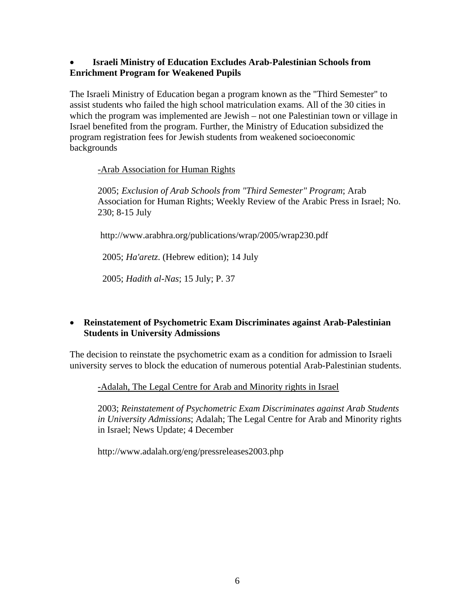#### • **Israeli Ministry of Education Excludes Arab-Palestinian Schools from Enrichment Program for Weakened Pupils**

The Israeli Ministry of Education began a program known as the "Third Semester" to assist students who failed the high school matriculation exams. All of the 30 cities in which the program was implemented are Jewish – not one Palestinian town or village in Israel benefited from the program. Further, the Ministry of Education subsidized the program registration fees for Jewish students from weakened socioeconomic backgrounds

#### -Arab Association for Human Rights

2005; *Exclusion of Arab Schools from "Third Semester" Program*; Arab Association for Human Rights; Weekly Review of the Arabic Press in Israel; No. 230; 8-15 July

<http://www.arabhra.org/publications/wrap/2005/wrap230.pdf>

2005; *Ha'aretz*. (Hebrew edition); 14 July

2005; *Hadith al-Nas*; 15 July; P. 37

#### • **Reinstatement of Psychometric Exam Discriminates against Arab-Palestinian Students in University Admissions**

The decision to reinstate the psychometric exam as a condition for admission to Israeli university serves to block the education of numerous potential Arab-Palestinian students.

-Adalah, The Legal Centre for Arab and Minority rights in Israel

2003; *Reinstatement of Psychometric Exam Discriminates against Arab Students in University Admissions*; Adalah; The Legal Centre for Arab and Minority rights in Israel; News Update; 4 December

<http://www.adalah.org/eng/pressreleases2003.php>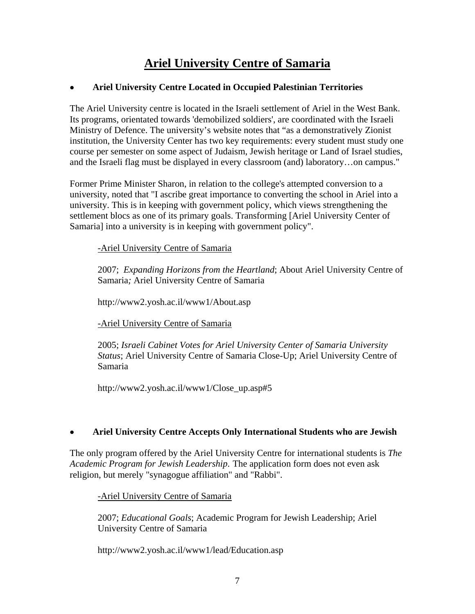# **Ariel University Centre of Samaria**

#### • **Ariel University Centre Located in Occupied Palestinian Territories**

The Ariel University centre is located in the Israeli settlement of Ariel in the West Bank. Its programs, orientated towards 'demobilized soldiers', are coordinated with the Israeli Ministry of Defence. The university's website notes that "as a demonstratively Zionist institution, the University Center has two key requirements: every student must study one course per semester on some aspect of Judaism, Jewish heritage or Land of Israel studies, and the Israeli flag must be displayed in every classroom (and) laboratory…on campus."

Former Prime Minister Sharon, in relation to the college's attempted conversion to a university, noted that "I ascribe great importance to converting the school in Ariel into a university. This is in keeping with government policy, which views strengthening the settlement blocs as one of its primary goals. Transforming [Ariel University Center of Samaria] into a university is in keeping with government policy".

-Ariel University Centre of Samaria

2007; *Expanding Horizons from the Heartland*; About Ariel University Centre of Samaria*;* Ariel University Centre of Samaria

<http://www2.yosh.ac.il/www1/About.asp>

-Ariel University Centre of Samaria

2005; *Israeli Cabinet Votes for Ariel University Center of Samaria University Status*; Ariel University Centre of Samaria Close-Up; Ariel University Centre of Samaria

[http://www2.yosh.ac.il/www1/Close\\_up.asp#5](http://www2.yosh.ac.il/www1/Close_up.asp%235) 

#### • **Ariel University Centre Accepts Only International Students who are Jewish**

The only program offered by the Ariel University Centre for international students is *The Academic Program for Jewish Leadership*. The application form does not even ask religion, but merely "synagogue affiliation" and "Rabbi".

-Ariel University Centre of Samaria

2007; *Educational Goals*; Academic Program for Jewish Leadership; Ariel University Centre of Samaria

<http://www2.yosh.ac.il/www1/lead/Education.asp>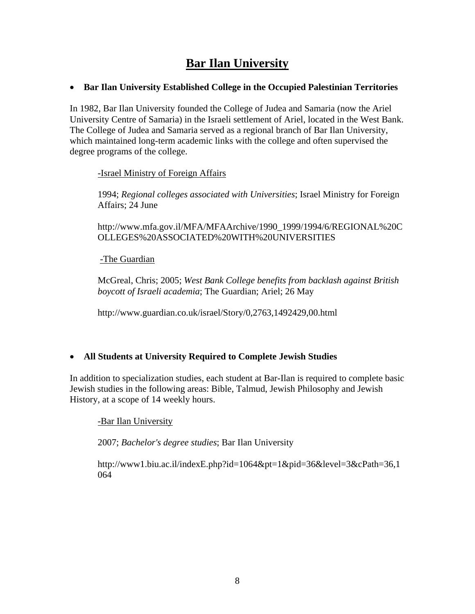# **Bar Ilan University**

#### • **Bar Ilan University Established College in the Occupied Palestinian Territories**

In 1982, Bar Ilan University founded the College of Judea and Samaria (now the Ariel University Centre of Samaria) in the Israeli settlement of Ariel, located in the West Bank. The College of Judea and Samaria served as a regional branch of Bar Ilan University, which maintained long-term academic links with the college and often supervised the degree programs of the college.

-Israel Ministry of Foreign Affairs

1994; *Regional colleges associated with Universities*; Israel Ministry for Foreign Affairs; 24 June

[http://www.mfa.gov.il/MFA/MFAArchive/1990\\_1999/1994/6/REGIONAL%20C](http://www.mfa.gov.il/MFA/MFAArchive/1990_1999/1994/6/REGIONAL%20COLLEGES%20ASSOCIATED%20WITH%20UNIVERSITIES) [OLLEGES%20ASSOCIATED%20WITH%20UNIVERSITIES](http://www.mfa.gov.il/MFA/MFAArchive/1990_1999/1994/6/REGIONAL%20COLLEGES%20ASSOCIATED%20WITH%20UNIVERSITIES) 

-The Guardian

McGreal, Chris; 2005; *West Bank College benefits from backlash against British boycott of Israeli academia*; The Guardian; Ariel; 26 May

<http://www.guardian.co.uk/israel/Story/0,2763,1492429,00.html>

#### • **All Students at University Required to Complete Jewish Studies**

In addition to specialization studies, each student at Bar-Ilan is required to complete basic Jewish studies in the following areas: Bible, Talmud, Jewish Philosophy and Jewish History, at a scope of 14 weekly hours.

-Bar Ilan University

2007; *Bachelor's degree studies*; Bar Ilan University

[http://www1.biu.ac.il/indexE.php?id=1064&pt=1&pid=36&level=3&cPath=36,1](http://www1.biu.ac.il/indexE.php?id=1064&pt=1&pid=36&level=3&cPath=36,1064) [064](http://www1.biu.ac.il/indexE.php?id=1064&pt=1&pid=36&level=3&cPath=36,1064)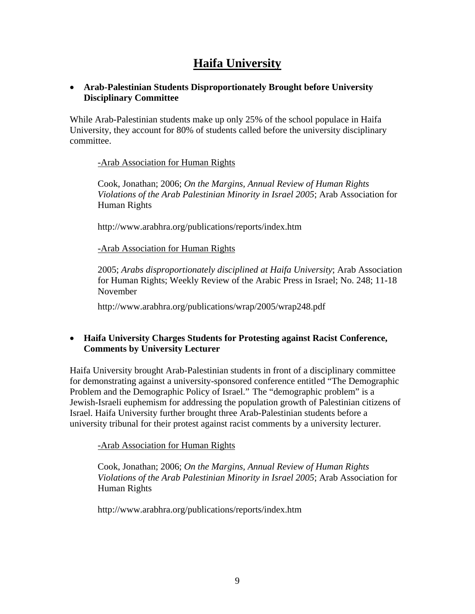# **Haifa University**

#### • **Arab-Palestinian Students Disproportionately Brought before University Disciplinary Committee**

While Arab-Palestinian students make up only 25% of the school populace in Haifa University, they account for 80% of students called before the university disciplinary committee.

#### -Arab Association for Human Rights

Cook, Jonathan; 2006; *On the Margins, Annual Review of Human Rights Violations of the Arab Palestinian Minority in Israel 2005*; Arab Association for Human Rights

<http://www.arabhra.org/publications/reports/index.htm>

-Arab Association for Human Rights

2005; *Arabs disproportionately disciplined at Haifa University*; Arab Association for Human Rights; Weekly Review of the Arabic Press in Israel; No. 248; 11-18 November

<http://www.arabhra.org/publications/wrap/2005/wrap248.pdf>

#### • **Haifa University Charges Students for Protesting against Racist Conference, Comments by University Lecturer**

Haifa University brought Arab-Palestinian students in front of a disciplinary committee for demonstrating against a university-sponsored conference entitled "The Demographic Problem and the Demographic Policy of Israel." The "demographic problem" is a Jewish-Israeli euphemism for addressing the population growth of Palestinian citizens of Israel. Haifa University further brought three Arab-Palestinian students before a university tribunal for their protest against racist comments by a university lecturer.

-Arab Association for Human Rights

Cook, Jonathan; 2006; *On the Margins, Annual Review of Human Rights Violations of the Arab Palestinian Minority in Israel 2005*; Arab Association for Human Rights

<http://www.arabhra.org/publications/reports/index.htm>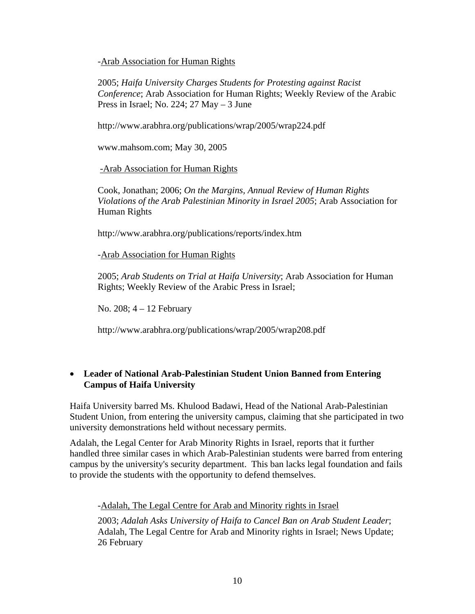-Arab Association for Human Rights

2005; *Haifa University Charges Students for Protesting against Racist Conference*; Arab Association for Human Rights; Weekly Review of the Arabic Press in Israel; No. 224; 27 May  $-3$  June

<http://www.arabhra.org/publications/wrap/2005/wrap224.pdf>

www.mahsom.com; May 30, 2005

-Arab Association for Human Rights

Cook, Jonathan; 2006; *On the Margins, Annual Review of Human Rights Violations of the Arab Palestinian Minority in Israel 2005*; Arab Association for Human Rights

<http://www.arabhra.org/publications/reports/index.htm>

-Arab Association for Human Rights

2005; *Arab Students on Trial at Haifa University*; Arab Association for Human Rights; Weekly Review of the Arabic Press in Israel;

No. 208; 4 – 12 February

<http://www.arabhra.org/publications/wrap/2005/wrap208.pdf>

#### • **Leader of National Arab-Palestinian Student Union Banned from Entering Campus of Haifa University**

Haifa University barred Ms. Khulood Badawi, Head of the National Arab-Palestinian Student Union, from entering the university campus, claiming that she participated in two university demonstrations held without necessary permits.

Adalah, the Legal Center for Arab Minority Rights in Israel, reports that it further handled three similar cases in which Arab-Palestinian students were barred from entering campus by the university's security department. This ban lacks legal foundation and fails to provide the students with the opportunity to defend themselves.

#### -Adalah, The Legal Centre for Arab and Minority rights in Israel

2003; *Adalah Asks University of Haifa to Cancel Ban on Arab Student Leader*; Adalah, The Legal Centre for Arab and Minority rights in Israel; News Update; 26 February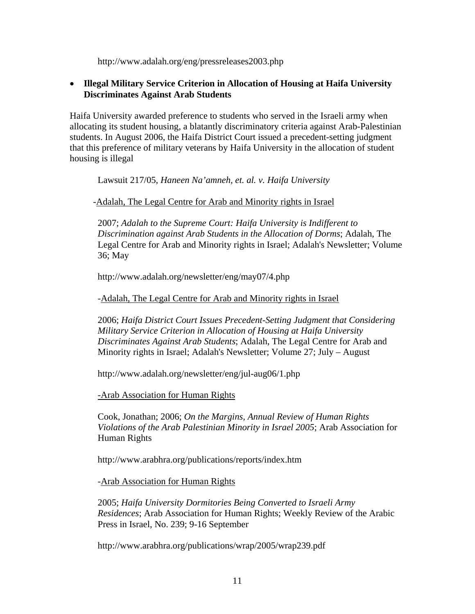http://www.adalah.org/eng/pressreleases2003.php

#### • **Illegal Military Service Criterion in Allocation of Housing at Haifa University Discriminates Against Arab Students**

Haifa University awarded preference to students who served in the Israeli army when allocating its student housing, a blatantly discriminatory criteria against Arab-Palestinian students. In August 2006, the Haifa District Court issued a precedent-setting judgment that this preference of military veterans by Haifa University in the allocation of student housing is illegal

Lawsuit 217/05, *Haneen Na'amneh, et. al. v. Haifa University* 

#### -Adalah, The Legal Centre for Arab and Minority rights in Israel

2007; *Adalah to the Supreme Court: Haifa University is Indifferent to Discrimination against Arab Students in the Allocation of Dorms*; Adalah, The Legal Centre for Arab and Minority rights in Israel; Adalah's Newsletter; Volume 36; May

<http://www.adalah.org/newsletter/eng/may07/4.php>

-Adalah, The Legal Centre for Arab and Minority rights in Israel

2006; *Haifa District Court Issues Precedent-Setting Judgment that Considering Military Service Criterion in Allocation of Housing at Haifa University Discriminates Against Arab Students*; Adalah, The Legal Centre for Arab and Minority rights in Israel; Adalah's Newsletter; Volume 27; July – August

http://www.adalah.org/newsletter/eng/jul-aug06/1.php

-Arab Association for Human Rights

Cook, Jonathan; 2006; *On the Margins, Annual Review of Human Rights Violations of the Arab Palestinian Minority in Israel 2005*; Arab Association for Human Rights

<http://www.arabhra.org/publications/reports/index.htm>

-Arab Association for Human Rights

2005; *Haifa University Dormitories Being Converted to Israeli Army Residences*; Arab Association for Human Rights; Weekly Review of the Arabic Press in Israel, No. 239; 9-16 September

<http://www.arabhra.org/publications/wrap/2005/wrap239.pdf>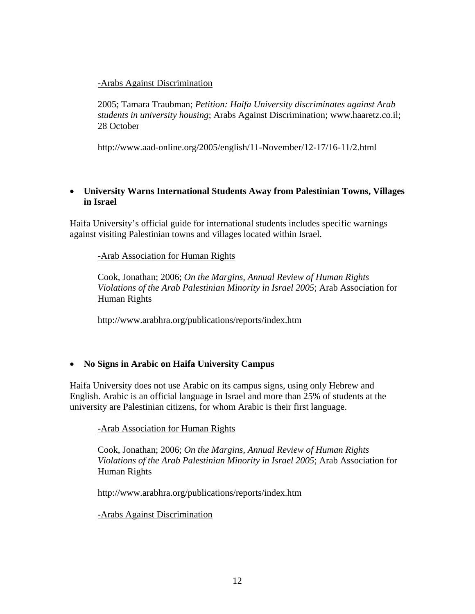#### -Arabs Against Discrimination

2005; Tamara Traubman; *Petition: Haifa University discriminates against Arab students in university housing*; Arabs Against Discrimination; [www.haaretz.co.il;](http://www.aad-online.org/2005/Hebrew/11-November/12-17/16-11/a2.htm)  [28 October](http://www.aad-online.org/2005/Hebrew/11-November/12-17/16-11/a2.htm) 

<http://www.aad-online.org/2005/english/11-November/12-17/16-11/2.html>

#### • **University Warns International Students Away from Palestinian Towns, Villages in Israel**

Haifa University's official guide for international students includes specific warnings against visiting Palestinian towns and villages located within Israel.

-Arab Association for Human Rights

Cook, Jonathan; 2006; *On the Margins, Annual Review of Human Rights Violations of the Arab Palestinian Minority in Israel 2005*; Arab Association for Human Rights

<http://www.arabhra.org/publications/reports/index.htm>

#### • **No Signs in Arabic on Haifa University Campus**

Haifa University does not use Arabic on its campus signs, using only Hebrew and English. Arabic is an official language in Israel and more than 25% of students at the university are Palestinian citizens, for whom Arabic is their first language.

-Arab Association for Human Rights

Cook, Jonathan; 2006; *On the Margins, Annual Review of Human Rights Violations of the Arab Palestinian Minority in Israel 2005*; Arab Association for Human Rights

<http://www.arabhra.org/publications/reports/index.htm>

-Arabs Against Discrimination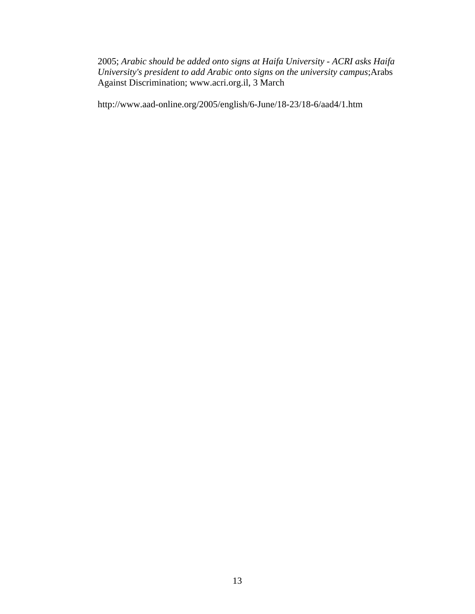2005; *Arabic should be added onto signs at Haifa University - ACRI asks Haifa University's president to add Arabic onto signs on the university campus*;Arabs Against Discrimination; [www.acri.org.il, 3 March](http://www.aad-online.org/2005/Hebrew/6-June/18-23/18-6/aad4/a1.htm) 

<http://www.aad-online.org/2005/english/6-June/18-23/18-6/aad4/1.htm>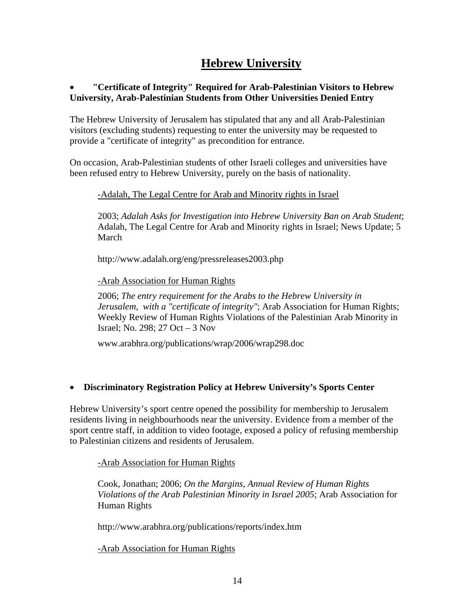# **Hebrew University**

#### • **"Certificate of Integrity" Required for Arab-Palestinian Visitors to Hebrew University, Arab-Palestinian Students from Other Universities Denied Entry**

The Hebrew University of Jerusalem has stipulated that any and all Arab-Palestinian visitors (excluding students) requesting to enter the university may be requested to provide a "certificate of integrity" as precondition for entrance.

On occasion, Arab-Palestinian students of other Israeli colleges and universities have been refused entry to Hebrew University, purely on the basis of nationality.

#### -Adalah, The Legal Centre for Arab and Minority rights in Israel

2003; *Adalah Asks for Investigation into Hebrew University Ban on Arab Student*; Adalah, The Legal Centre for Arab and Minority rights in Israel; News Update; 5 March

<http://www.adalah.org/eng/pressreleases2003.php>

-Arab Association for Human Rights

2006; *The entry requirement for the Arabs to the Hebrew University in Jerusalem, with a "certificate of integrity"*; Arab Association for Human Rights; Weekly Review of Human Rights Violations of the Palestinian Arab Minority in Israel; No. 298; 27 Oct – 3 Nov

[www.arabhra.org/publications/wrap/2006/wrap298.doc](http://docs.google.com/www.arabhra.org/publications/wrap/2006/wrap298.doc)

#### • **Discriminatory Registration Policy at Hebrew University's Sports Center**

Hebrew University's sport centre opened the possibility for membership to Jerusalem residents living in neighbourhoods near the university. Evidence from a member of the sport centre staff, in addition to video footage, exposed a policy of refusing membership to Palestinian citizens and residents of Jerusalem.

-Arab Association for Human Rights

Cook, Jonathan; 2006; *On the Margins, Annual Review of Human Rights Violations of the Arab Palestinian Minority in Israel 2005*; Arab Association for Human Rights

<http://www.arabhra.org/publications/reports/index.htm>

-Arab Association for Human Rights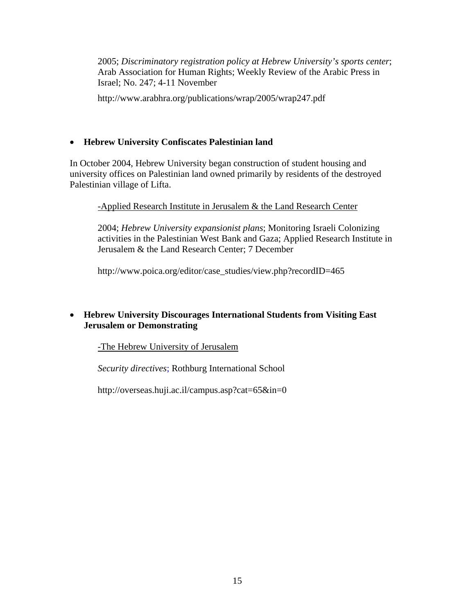2005; *Discriminatory registration policy at Hebrew University's sports center*; Arab Association for Human Rights; Weekly Review of the Arabic Press in Israel; No. 247; 4-11 November

<http://www.arabhra.org/publications/wrap/2005/wrap247.pdf>

#### • **Hebrew University Confiscates Palestinian land**

In October 2004, Hebrew University began construction of student housing and university offices on Palestinian land owned primarily by residents of the destroyed Palestinian village of Lifta.

#### -Applied Research Institute in Jerusalem & the Land Research Center

2004; *Hebrew University expansionist plans*; Monitoring Israeli Colonizing activities in the Palestinian West Bank and Gaza; Applied Research Institute in Jerusalem & the Land Research Center; 7 December

[http://www.poica.org/editor/case\\_studies/view.php?recordID=465](http://www.poica.org/editor/case_studies/view.php?recordID=465)

#### • **Hebrew University Discourages International Students from Visiting East Jerusalem or Demonstrating**

-The Hebrew University of Jerusalem

*Security directives*; Rothburg International School

<http://overseas.huji.ac.il/campus.asp?cat=65&in=0>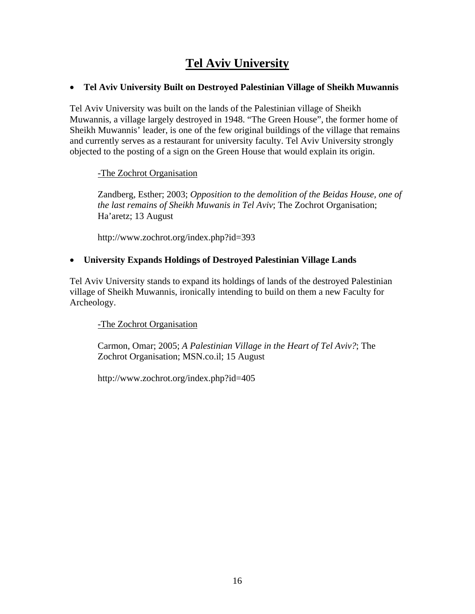# **Tel Aviv University**

#### • **Tel Aviv University Built on Destroyed Palestinian Village of Sheikh Muwannis**

Tel Aviv University was built on the lands of the Palestinian village of Sheikh Muwannis, a village largely destroyed in 1948. "The Green House", the former home of Sheikh Muwannis' leader, is one of the few original buildings of the village that remains and currently serves as a restaurant for university faculty. Tel Aviv University strongly objected to the posting of a sign on the Green House that would explain its origin.

#### -The Zochrot Organisation

Zandberg, Esther; 2003; *Opposition to the demolition of the Beidas House, one of the last remains of Sheikh Muwanis in Tel Aviv*; The Zochrot Organisation; Ha'aretz; 13 August

<http://www.zochrot.org/index.php?id=393>

#### • **University Expands Holdings of Destroyed Palestinian Village Lands**

Tel Aviv University stands to expand its holdings of lands of the destroyed Palestinian village of Sheikh Muwannis, ironically intending to build on them a new Faculty for Archeology.

#### -The Zochrot Organisation

Carmon, Omar; 2005; *A Palestinian Village in the Heart of Tel Aviv?*; The Zochrot Organisation; MSN.co.il; 15 August

<http://www.zochrot.org/index.php?id=405>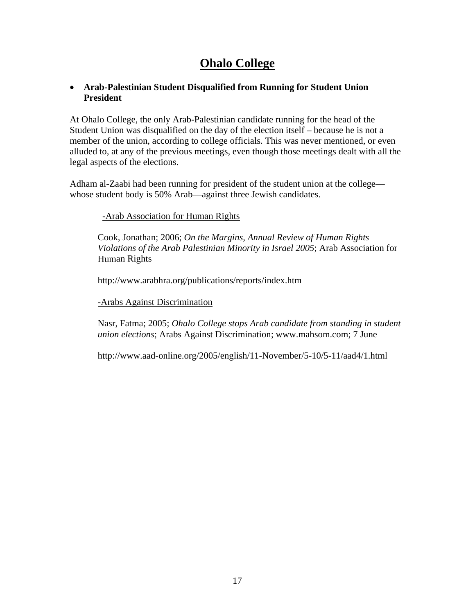## **Ohalo College**

#### • **Arab-Palestinian Student Disqualified from Running for Student Union President**

At Ohalo College, the only Arab-Palestinian candidate running for the head of the Student Union was disqualified on the day of the election itself – because he is not a member of the union, according to college officials. This was never mentioned, or even alluded to, at any of the previous meetings, even though those meetings dealt with all the legal aspects of the elections.

Adham al-Zaabi had been running for president of the student union at the college whose student body is 50% Arab—against three Jewish candidates.

#### -Arab Association for Human Rights

Cook, Jonathan; 2006; *On the Margins, Annual Review of Human Rights Violations of the Arab Palestinian Minority in Israel 2005*; Arab Association for Human Rights

<http://www.arabhra.org/publications/reports/index.htm>

-Arabs Against Discrimination

Nasr, Fatma; 2005; *Ohalo College stops Arab candidate from standing in student union elections*; Arabs Against Discrimination; [www.mahsom.com; 7 June](http://www.aad-online.org/2005/Hebrew/11-November/5-10/5-11/aad4/a1.htm)

<http://www.aad-online.org/2005/english/11-November/5-10/5-11/aad4/1.html>